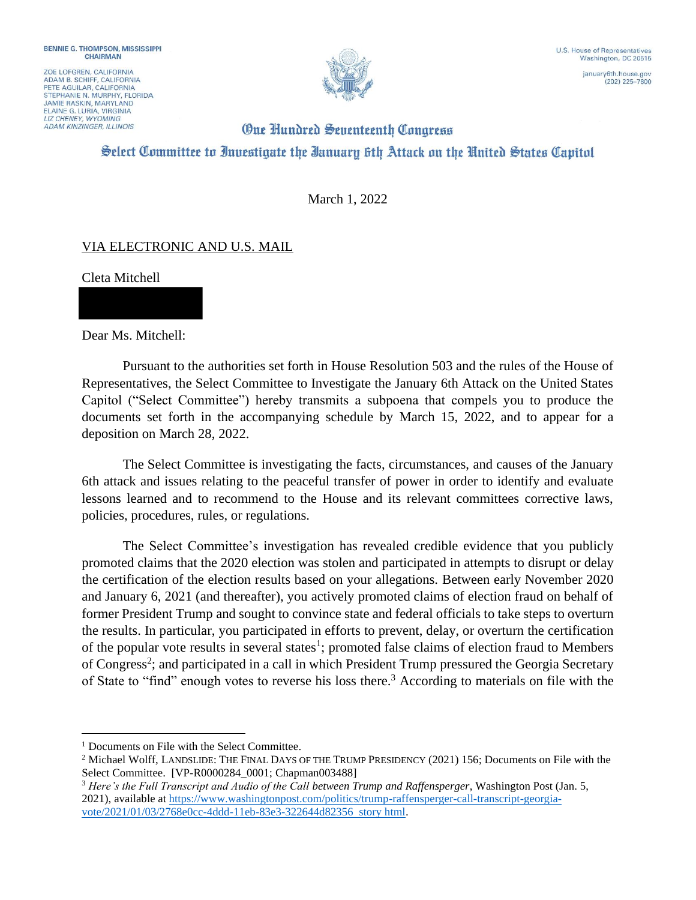ZOE LOFGREN, CALIFORNIA ADAM B. SCHIFF, CALIFORNIA<br>PETE AGUILAR, CALIFORNIA STEPHANIE N. MURPHY, FLORIDA **JAMIE RASKIN, MARYLAND** ELAINE G. LURIA, VIRGINIA **ADAM KINZINGER, ILLINOIS** 



 $(202)$  225-7800

## **One Hundred Seventeenth Congress** Select Committee to Investigate the Ianuary 6th Attack on the United States Capitol

March 1, 2022

## VIA ELECTRONIC AND U.S. MAIL

Cleta Mitchell

Dear Ms. Mitchell:

Pursuant to the authorities set forth in House Resolution 503 and the rules of the House of Representatives, the Select Committee to Investigate the January 6th Attack on the United States Capitol ("Select Committee") hereby transmits a subpoena that compels you to produce the documents set forth in the accompanying schedule by March 15, 2022, and to appear for a deposition on March 28, 2022.

The Select Committee is investigating the facts, circumstances, and causes of the January 6th attack and issues relating to the peaceful transfer of power in order to identify and evaluate lessons learned and to recommend to the House and its relevant committees corrective laws, policies, procedures, rules, or regulations.

The Select Committee's investigation has revealed credible evidence that you publicly promoted claims that the 2020 election was stolen and participated in attempts to disrupt or delay the certification of the election results based on your allegations. Between early November 2020 and January 6, 2021 (and thereafter), you actively promoted claims of election fraud on behalf of former President Trump and sought to convince state and federal officials to take steps to overturn the results. In particular, you participated in efforts to prevent, delay, or overturn the certification of the popular vote results in several states<sup>1</sup>; promoted false claims of election fraud to Members of Congress<sup>2</sup>; and participated in a call in which President Trump pressured the Georgia Secretary of State to "find" enough votes to reverse his loss there.<sup>3</sup> According to materials on file with the

<sup>&</sup>lt;sup>1</sup> Documents on File with the Select Committee.

<sup>&</sup>lt;sup>2</sup> Michael Wolff, LANDSLIDE: THE FINAL DAYS OF THE TRUMP PRESIDENCY (2021) 156; Documents on File with the Select Committee. [VP-R0000284\_0001; Chapman003488]

<sup>3</sup> *Here's the Full Transcript and Audio of the Call between Trump and Raffensperger*, Washington Post (Jan. 5, 2021), available at https://www.washingtonpost.com/politics/trump-raffensperger-call-transcript-georgiavote/2021/01/03/2768e0cc-4ddd-11eb-83e3-322644d82356 story html.